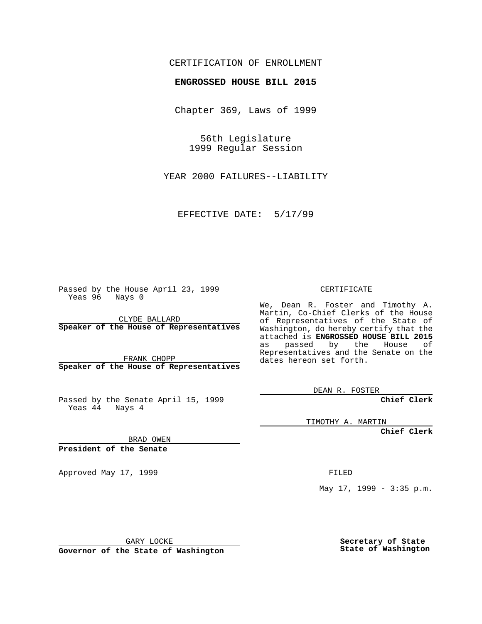## CERTIFICATION OF ENROLLMENT

# **ENGROSSED HOUSE BILL 2015**

Chapter 369, Laws of 1999

56th Legislature 1999 Regular Session

YEAR 2000 FAILURES--LIABILITY

EFFECTIVE DATE: 5/17/99

Passed by the House April 23, 1999 Yeas 96 Nays 0

CLYDE BALLARD **Speaker of the House of Representatives**

FRANK CHOPP **Speaker of the House of Representatives**

Passed by the Senate April 15, 1999 Yeas 44 Nays 4

CERTIFICATE

We, Dean R. Foster and Timothy A. Martin, Co-Chief Clerks of the House of Representatives of the State of Washington, do hereby certify that the attached is **ENGROSSED HOUSE BILL 2015** as passed by the House of Representatives and the Senate on the dates hereon set forth.

DEAN R. FOSTER

**Chief Clerk**

TIMOTHY A. MARTIN

**Chief Clerk**

BRAD OWEN

**President of the Senate**

Approved May 17, 1999 **FILED** 

May 17, 1999 - 3:35 p.m.

GARY LOCKE

**Governor of the State of Washington**

**Secretary of State State of Washington**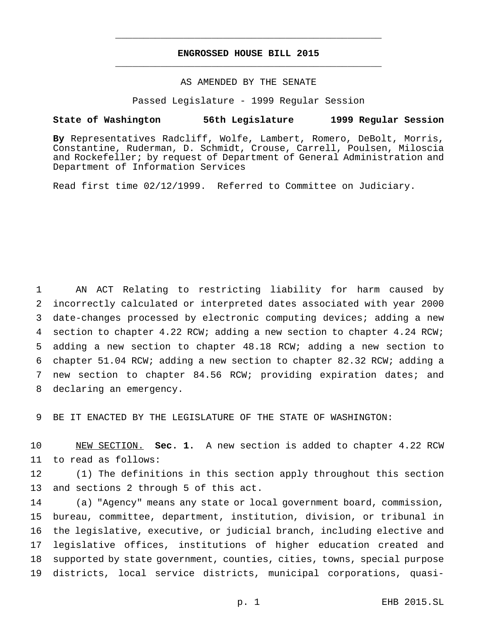## **ENGROSSED HOUSE BILL 2015** \_\_\_\_\_\_\_\_\_\_\_\_\_\_\_\_\_\_\_\_\_\_\_\_\_\_\_\_\_\_\_\_\_\_\_\_\_\_\_\_\_\_\_\_\_\_\_

\_\_\_\_\_\_\_\_\_\_\_\_\_\_\_\_\_\_\_\_\_\_\_\_\_\_\_\_\_\_\_\_\_\_\_\_\_\_\_\_\_\_\_\_\_\_\_

### AS AMENDED BY THE SENATE

Passed Legislature - 1999 Regular Session

#### **State of Washington 56th Legislature 1999 Regular Session**

**By** Representatives Radcliff, Wolfe, Lambert, Romero, DeBolt, Morris, Constantine, Ruderman, D. Schmidt, Crouse, Carrell, Poulsen, Miloscia and Rockefeller; by request of Department of General Administration and Department of Information Services

Read first time 02/12/1999. Referred to Committee on Judiciary.

 AN ACT Relating to restricting liability for harm caused by incorrectly calculated or interpreted dates associated with year 2000 date-changes processed by electronic computing devices; adding a new section to chapter 4.22 RCW; adding a new section to chapter 4.24 RCW; adding a new section to chapter 48.18 RCW; adding a new section to chapter 51.04 RCW; adding a new section to chapter 82.32 RCW; adding a new section to chapter 84.56 RCW; providing expiration dates; and declaring an emergency.

BE IT ENACTED BY THE LEGISLATURE OF THE STATE OF WASHINGTON:

 NEW SECTION. **Sec. 1.** A new section is added to chapter 4.22 RCW to read as follows:

 (1) The definitions in this section apply throughout this section and sections 2 through 5 of this act.

 (a) "Agency" means any state or local government board, commission, bureau, committee, department, institution, division, or tribunal in the legislative, executive, or judicial branch, including elective and legislative offices, institutions of higher education created and supported by state government, counties, cities, towns, special purpose districts, local service districts, municipal corporations, quasi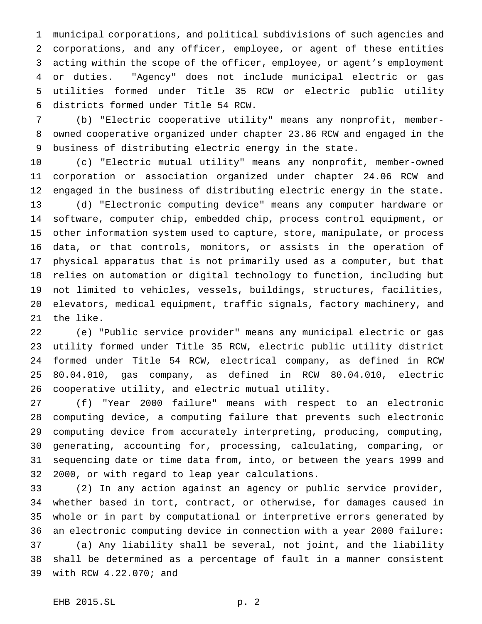municipal corporations, and political subdivisions of such agencies and corporations, and any officer, employee, or agent of these entities acting within the scope of the officer, employee, or agent's employment or duties. "Agency" does not include municipal electric or gas utilities formed under Title 35 RCW or electric public utility districts formed under Title 54 RCW.

 (b) "Electric cooperative utility" means any nonprofit, member- owned cooperative organized under chapter 23.86 RCW and engaged in the business of distributing electric energy in the state.

 (c) "Electric mutual utility" means any nonprofit, member-owned corporation or association organized under chapter 24.06 RCW and engaged in the business of distributing electric energy in the state. (d) "Electronic computing device" means any computer hardware or software, computer chip, embedded chip, process control equipment, or other information system used to capture, store, manipulate, or process data, or that controls, monitors, or assists in the operation of physical apparatus that is not primarily used as a computer, but that relies on automation or digital technology to function, including but not limited to vehicles, vessels, buildings, structures, facilities, elevators, medical equipment, traffic signals, factory machinery, and the like.

 (e) "Public service provider" means any municipal electric or gas utility formed under Title 35 RCW, electric public utility district formed under Title 54 RCW, electrical company, as defined in RCW 80.04.010, gas company, as defined in RCW 80.04.010, electric cooperative utility, and electric mutual utility.

 (f) "Year 2000 failure" means with respect to an electronic computing device, a computing failure that prevents such electronic computing device from accurately interpreting, producing, computing, generating, accounting for, processing, calculating, comparing, or sequencing date or time data from, into, or between the years 1999 and 2000, or with regard to leap year calculations.

 (2) In any action against an agency or public service provider, whether based in tort, contract, or otherwise, for damages caused in whole or in part by computational or interpretive errors generated by an electronic computing device in connection with a year 2000 failure: (a) Any liability shall be several, not joint, and the liability shall be determined as a percentage of fault in a manner consistent with RCW 4.22.070; and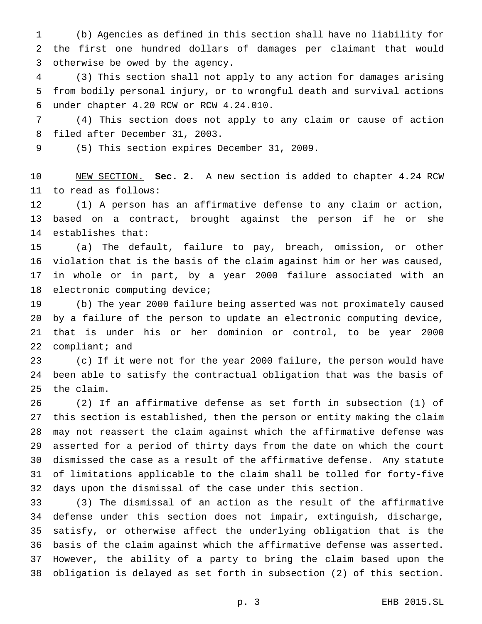(b) Agencies as defined in this section shall have no liability for the first one hundred dollars of damages per claimant that would otherwise be owed by the agency.

 (3) This section shall not apply to any action for damages arising from bodily personal injury, or to wrongful death and survival actions under chapter 4.20 RCW or RCW 4.24.010.

 (4) This section does not apply to any claim or cause of action filed after December 31, 2003.

(5) This section expires December 31, 2009.

 NEW SECTION. **Sec. 2.** A new section is added to chapter 4.24 RCW to read as follows:

 (1) A person has an affirmative defense to any claim or action, based on a contract, brought against the person if he or she establishes that:

 (a) The default, failure to pay, breach, omission, or other violation that is the basis of the claim against him or her was caused, in whole or in part, by a year 2000 failure associated with an electronic computing device;

 (b) The year 2000 failure being asserted was not proximately caused by a failure of the person to update an electronic computing device, that is under his or her dominion or control, to be year 2000 22 compliant; and

 (c) If it were not for the year 2000 failure, the person would have been able to satisfy the contractual obligation that was the basis of the claim.

 (2) If an affirmative defense as set forth in subsection (1) of this section is established, then the person or entity making the claim may not reassert the claim against which the affirmative defense was asserted for a period of thirty days from the date on which the court dismissed the case as a result of the affirmative defense. Any statute of limitations applicable to the claim shall be tolled for forty-five days upon the dismissal of the case under this section.

 (3) The dismissal of an action as the result of the affirmative defense under this section does not impair, extinguish, discharge, satisfy, or otherwise affect the underlying obligation that is the basis of the claim against which the affirmative defense was asserted. However, the ability of a party to bring the claim based upon the obligation is delayed as set forth in subsection (2) of this section.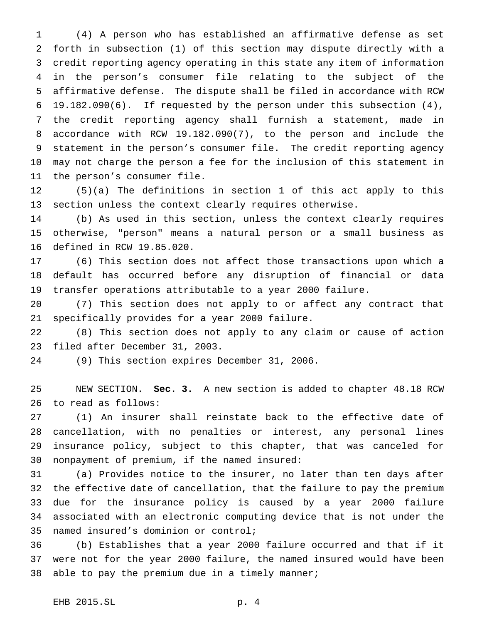(4) A person who has established an affirmative defense as set forth in subsection (1) of this section may dispute directly with a credit reporting agency operating in this state any item of information in the person's consumer file relating to the subject of the affirmative defense. The dispute shall be filed in accordance with RCW 19.182.090(6). If requested by the person under this subsection (4), the credit reporting agency shall furnish a statement, made in accordance with RCW 19.182.090(7), to the person and include the statement in the person's consumer file. The credit reporting agency may not charge the person a fee for the inclusion of this statement in the person's consumer file.

 (5)(a) The definitions in section 1 of this act apply to this section unless the context clearly requires otherwise.

 (b) As used in this section, unless the context clearly requires otherwise, "person" means a natural person or a small business as defined in RCW 19.85.020.

 (6) This section does not affect those transactions upon which a default has occurred before any disruption of financial or data transfer operations attributable to a year 2000 failure.

 (7) This section does not apply to or affect any contract that specifically provides for a year 2000 failure.

 (8) This section does not apply to any claim or cause of action filed after December 31, 2003.

(9) This section expires December 31, 2006.

 NEW SECTION. **Sec. 3.** A new section is added to chapter 48.18 RCW to read as follows:

 (1) An insurer shall reinstate back to the effective date of cancellation, with no penalties or interest, any personal lines insurance policy, subject to this chapter, that was canceled for nonpayment of premium, if the named insured:

 (a) Provides notice to the insurer, no later than ten days after the effective date of cancellation, that the failure to pay the premium due for the insurance policy is caused by a year 2000 failure associated with an electronic computing device that is not under the named insured's dominion or control;

 (b) Establishes that a year 2000 failure occurred and that if it were not for the year 2000 failure, the named insured would have been 38 able to pay the premium due in a timely manner;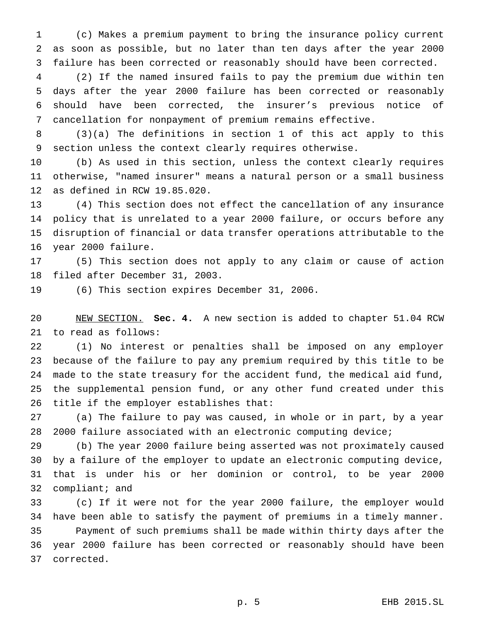(c) Makes a premium payment to bring the insurance policy current as soon as possible, but no later than ten days after the year 2000 failure has been corrected or reasonably should have been corrected.

 (2) If the named insured fails to pay the premium due within ten days after the year 2000 failure has been corrected or reasonably should have been corrected, the insurer's previous notice of cancellation for nonpayment of premium remains effective.

 (3)(a) The definitions in section 1 of this act apply to this section unless the context clearly requires otherwise.

 (b) As used in this section, unless the context clearly requires otherwise, "named insurer" means a natural person or a small business as defined in RCW 19.85.020.

 (4) This section does not effect the cancellation of any insurance policy that is unrelated to a year 2000 failure, or occurs before any disruption of financial or data transfer operations attributable to the year 2000 failure.

 (5) This section does not apply to any claim or cause of action filed after December 31, 2003.

(6) This section expires December 31, 2006.

 NEW SECTION. **Sec. 4.** A new section is added to chapter 51.04 RCW to read as follows:

 (1) No interest or penalties shall be imposed on any employer because of the failure to pay any premium required by this title to be made to the state treasury for the accident fund, the medical aid fund, the supplemental pension fund, or any other fund created under this title if the employer establishes that:

 (a) The failure to pay was caused, in whole or in part, by a year 2000 failure associated with an electronic computing device;

 (b) The year 2000 failure being asserted was not proximately caused by a failure of the employer to update an electronic computing device, that is under his or her dominion or control, to be year 2000 compliant; and

 (c) If it were not for the year 2000 failure, the employer would have been able to satisfy the payment of premiums in a timely manner. Payment of such premiums shall be made within thirty days after the year 2000 failure has been corrected or reasonably should have been corrected.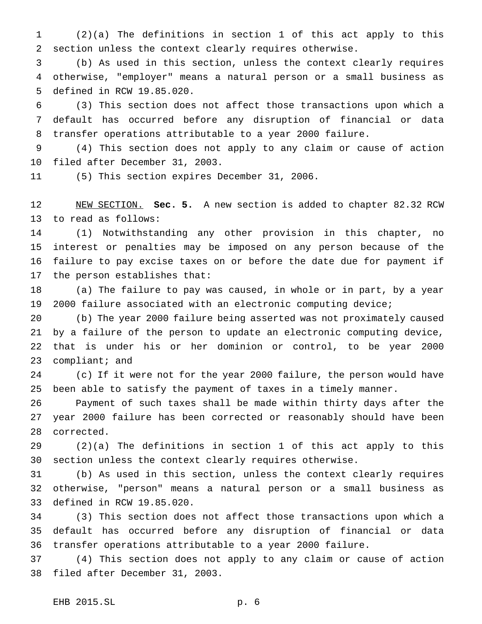(2)(a) The definitions in section 1 of this act apply to this section unless the context clearly requires otherwise.

 (b) As used in this section, unless the context clearly requires otherwise, "employer" means a natural person or a small business as defined in RCW 19.85.020.

 (3) This section does not affect those transactions upon which a default has occurred before any disruption of financial or data transfer operations attributable to a year 2000 failure.

 (4) This section does not apply to any claim or cause of action filed after December 31, 2003.

(5) This section expires December 31, 2006.

 NEW SECTION. **Sec. 5.** A new section is added to chapter 82.32 RCW to read as follows:

 (1) Notwithstanding any other provision in this chapter, no interest or penalties may be imposed on any person because of the failure to pay excise taxes on or before the date due for payment if the person establishes that:

 (a) The failure to pay was caused, in whole or in part, by a year 2000 failure associated with an electronic computing device;

 (b) The year 2000 failure being asserted was not proximately caused by a failure of the person to update an electronic computing device, that is under his or her dominion or control, to be year 2000 compliant; and

 (c) If it were not for the year 2000 failure, the person would have been able to satisfy the payment of taxes in a timely manner.

 Payment of such taxes shall be made within thirty days after the year 2000 failure has been corrected or reasonably should have been corrected.

 (2)(a) The definitions in section 1 of this act apply to this section unless the context clearly requires otherwise.

 (b) As used in this section, unless the context clearly requires otherwise, "person" means a natural person or a small business as defined in RCW 19.85.020.

 (3) This section does not affect those transactions upon which a default has occurred before any disruption of financial or data transfer operations attributable to a year 2000 failure.

 (4) This section does not apply to any claim or cause of action filed after December 31, 2003.